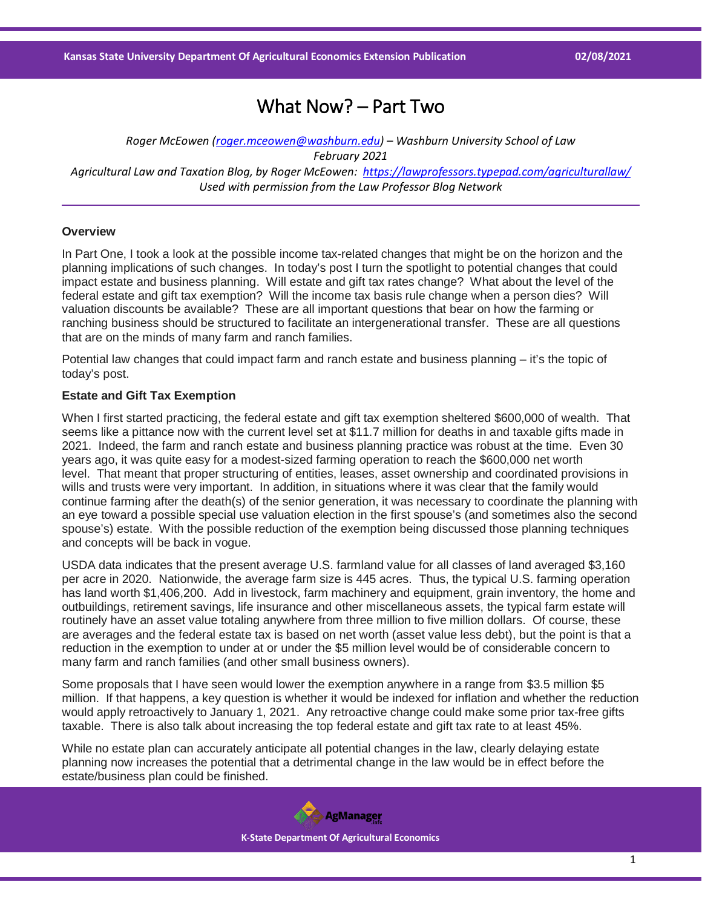# What Now? – Part Two

*Roger McEowen [\(roger.mceowen@washburn.edu\)](mailto:roger.mceowen@washburn.edu) – Washburn University School of Law February 2021 Agricultural Law and Taxation Blog, by Roger McEowen:<https://lawprofessors.typepad.com/agriculturallaw/> Used with permission from the Law Professor Blog Network*

## **Overview**

In Part One, I took a look at the possible income tax-related changes that might be on the horizon and the planning implications of such changes. In today's post I turn the spotlight to potential changes that could impact estate and business planning. Will estate and gift tax rates change? What about the level of the federal estate and gift tax exemption? Will the income tax basis rule change when a person dies? Will valuation discounts be available? These are all important questions that bear on how the farming or ranching business should be structured to facilitate an intergenerational transfer. These are all questions that are on the minds of many farm and ranch families.

Potential law changes that could impact farm and ranch estate and business planning – it's the topic of today's post.

### **Estate and Gift Tax Exemption**

When I first started practicing, the federal estate and gift tax exemption sheltered \$600,000 of wealth. That seems like a pittance now with the current level set at \$11.7 million for deaths in and taxable gifts made in 2021. Indeed, the farm and ranch estate and business planning practice was robust at the time. Even 30 years ago, it was quite easy for a modest-sized farming operation to reach the \$600,000 net worth level. That meant that proper structuring of entities, leases, asset ownership and coordinated provisions in wills and trusts were very important. In addition, in situations where it was clear that the family would continue farming after the death(s) of the senior generation, it was necessary to coordinate the planning with an eye toward a possible special use valuation election in the first spouse's (and sometimes also the second spouse's) estate. With the possible reduction of the exemption being discussed those planning techniques and concepts will be back in vogue.

USDA data indicates that the present average U.S. farmland value for all classes of land averaged \$3,160 per acre in 2020. Nationwide, the average farm size is 445 acres. Thus, the typical U.S. farming operation has land worth \$1,406,200. Add in livestock, farm machinery and equipment, grain inventory, the home and outbuildings, retirement savings, life insurance and other miscellaneous assets, the typical farm estate will routinely have an asset value totaling anywhere from three million to five million dollars. Of course, these are averages and the federal estate tax is based on net worth (asset value less debt), but the point is that a reduction in the exemption to under at or under the \$5 million level would be of considerable concern to many farm and ranch families (and other small business owners).

Some proposals that I have seen would lower the exemption anywhere in a range from \$3.5 million \$5 million. If that happens, a key question is whether it would be indexed for inflation and whether the reduction would apply retroactively to January 1, 2021. Any retroactive change could make some prior tax-free gifts taxable. There is also talk about increasing the top federal estate and gift tax rate to at least 45%.

While no estate plan can accurately anticipate all potential changes in the law, clearly delaying estate planning now increases the potential that a detrimental change in the law would be in effect before the estate/business plan could be finished.

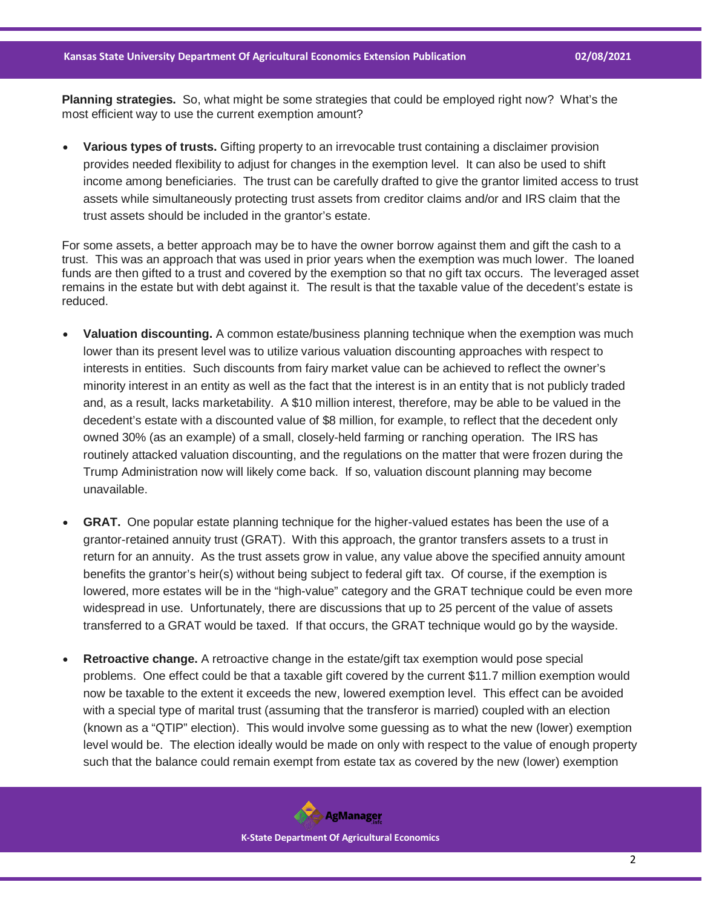**Planning strategies.** So, what might be some strategies that could be employed right now? What's the most efficient way to use the current exemption amount?

• **Various types of trusts.** Gifting property to an irrevocable trust containing a disclaimer provision provides needed flexibility to adjust for changes in the exemption level. It can also be used to shift income among beneficiaries. The trust can be carefully drafted to give the grantor limited access to trust assets while simultaneously protecting trust assets from creditor claims and/or and IRS claim that the trust assets should be included in the grantor's estate.

For some assets, a better approach may be to have the owner borrow against them and gift the cash to a trust. This was an approach that was used in prior years when the exemption was much lower. The loaned funds are then gifted to a trust and covered by the exemption so that no gift tax occurs. The leveraged asset remains in the estate but with debt against it. The result is that the taxable value of the decedent's estate is reduced.

- **Valuation discounting.** A common estate/business planning technique when the exemption was much lower than its present level was to utilize various valuation discounting approaches with respect to interests in entities. Such discounts from fairy market value can be achieved to reflect the owner's minority interest in an entity as well as the fact that the interest is in an entity that is not publicly traded and, as a result, lacks marketability. A \$10 million interest, therefore, may be able to be valued in the decedent's estate with a discounted value of \$8 million, for example, to reflect that the decedent only owned 30% (as an example) of a small, closely-held farming or ranching operation. The IRS has routinely attacked valuation discounting, and the regulations on the matter that were frozen during the Trump Administration now will likely come back. If so, valuation discount planning may become unavailable.
- **GRAT.** One popular estate planning technique for the higher-valued estates has been the use of a grantor-retained annuity trust (GRAT). With this approach, the grantor transfers assets to a trust in return for an annuity. As the trust assets grow in value, any value above the specified annuity amount benefits the grantor's heir(s) without being subject to federal gift tax. Of course, if the exemption is lowered, more estates will be in the "high-value" category and the GRAT technique could be even more widespread in use. Unfortunately, there are discussions that up to 25 percent of the value of assets transferred to a GRAT would be taxed. If that occurs, the GRAT technique would go by the wayside.
- **Retroactive change.** A retroactive change in the estate/gift tax exemption would pose special problems. One effect could be that a taxable gift covered by the current \$11.7 million exemption would now be taxable to the extent it exceeds the new, lowered exemption level. This effect can be avoided with a special type of marital trust (assuming that the transferor is married) coupled with an election (known as a "QTIP" election). This would involve some guessing as to what the new (lower) exemption level would be. The election ideally would be made on only with respect to the value of enough property such that the balance could remain exempt from estate tax as covered by the new (lower) exemption

**AgManager K-State Department Of Agricultural Economics**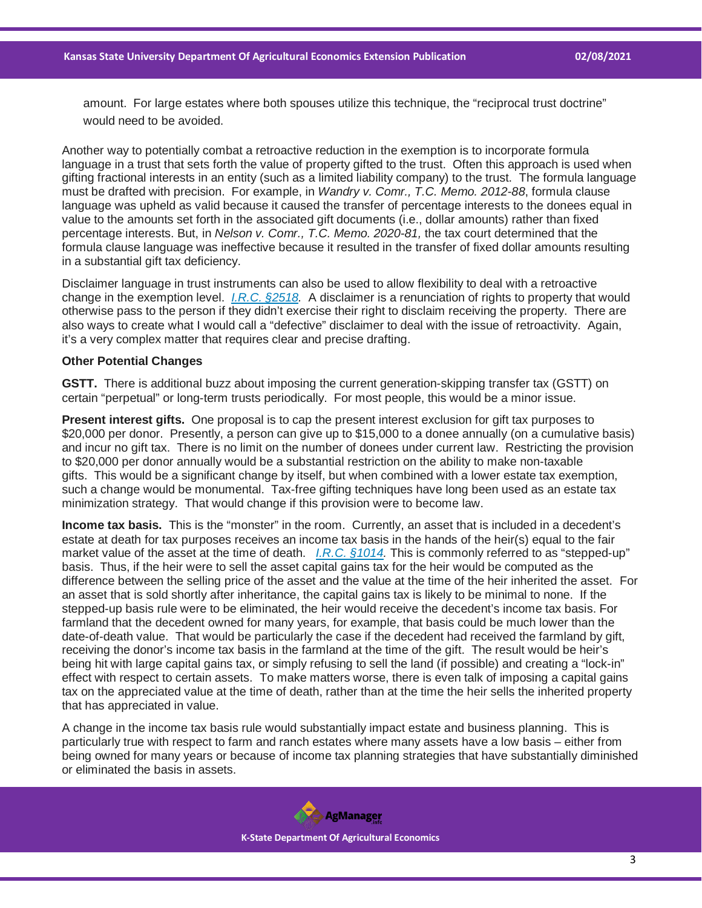amount. For large estates where both spouses utilize this technique, the "reciprocal trust doctrine" would need to be avoided.

Another way to potentially combat a retroactive reduction in the exemption is to incorporate formula language in a trust that sets forth the value of property gifted to the trust. Often this approach is used when gifting fractional interests in an entity (such as a limited liability company) to the trust. The formula language must be drafted with precision. For example, in *Wandry v. Comr., T.C. Memo. 2012-88*, formula clause language was upheld as valid because it caused the transfer of percentage interests to the donees equal in value to the amounts set forth in the associated gift documents (i.e., dollar amounts) rather than fixed percentage interests. But, in *Nelson v. Comr., T.C. Memo. 2020-81,* the tax court determined that the formula clause language was ineffective because it resulted in the transfer of fixed dollar amounts resulting in a substantial gift tax deficiency.

Disclaimer language in trust instruments can also be used to allow flexibility to deal with a retroactive change in the exemption level. *[I.R.C. §2518.](https://casetext.com/statute/united-states-code/title-26-internal-revenue-code/subtitle-b-estate-and-gift-taxes/chapter-12-gift-tax/subchapter-b-transfers/section-2518-disclaimers?ref=ArRBZs!ILTBQh)* A disclaimer is a renunciation of rights to property that would otherwise pass to the person if they didn't exercise their right to disclaim receiving the property. There are also ways to create what I would call a "defective" disclaimer to deal with the issue of retroactivity. Again, it's a very complex matter that requires clear and precise drafting.

## **Other Potential Changes**

**GSTT.** There is additional buzz about imposing the current generation-skipping transfer tax (GSTT) on certain "perpetual" or long-term trusts periodically. For most people, this would be a minor issue.

**Present interest gifts.** One proposal is to cap the present interest exclusion for gift tax purposes to \$20,000 per donor. Presently, a person can give up to \$15,000 to a donee annually (on a cumulative basis) and incur no gift tax. There is no limit on the number of donees under current law. Restricting the provision to \$20,000 per donor annually would be a substantial restriction on the ability to make non-taxable gifts. This would be a significant change by itself, but when combined with a lower estate tax exemption, such a change would be monumental. Tax-free gifting techniques have long been used as an estate tax minimization strategy. That would change if this provision were to become law.

**Income tax basis.** This is the "monster" in the room. Currently, an asset that is included in a decedent's estate at death for tax purposes receives an income tax basis in the hands of the heir(s) equal to the fair market value of the asset at the time of death. *[I.R.C. §1014.](https://casetext.com/statute/united-states-code/title-26-internal-revenue-code/subtitle-a-income-taxes/chapter-1-normal-taxes-and-surtaxes/subchapter-o-gain-or-loss-on-disposition-of-property/part-ii-basis-rules-of-general-application/section-1014-basis-of-property-acquired-from-a-decedent?ref=ArRBZs!dnpmbZ)* This is commonly referred to as "stepped-up" basis. Thus, if the heir were to sell the asset capital gains tax for the heir would be computed as the difference between the selling price of the asset and the value at the time of the heir inherited the asset. For an asset that is sold shortly after inheritance, the capital gains tax is likely to be minimal to none. If the stepped-up basis rule were to be eliminated, the heir would receive the decedent's income tax basis. For farmland that the decedent owned for many years, for example, that basis could be much lower than the date-of-death value. That would be particularly the case if the decedent had received the farmland by gift, receiving the donor's income tax basis in the farmland at the time of the gift. The result would be heir's being hit with large capital gains tax, or simply refusing to sell the land (if possible) and creating a "lock-in" effect with respect to certain assets. To make matters worse, there is even talk of imposing a capital gains tax on the appreciated value at the time of death, rather than at the time the heir sells the inherited property that has appreciated in value.

A change in the income tax basis rule would substantially impact estate and business planning. This is particularly true with respect to farm and ranch estates where many assets have a low basis – either from being owned for many years or because of income tax planning strategies that have substantially diminished or eliminated the basis in assets.